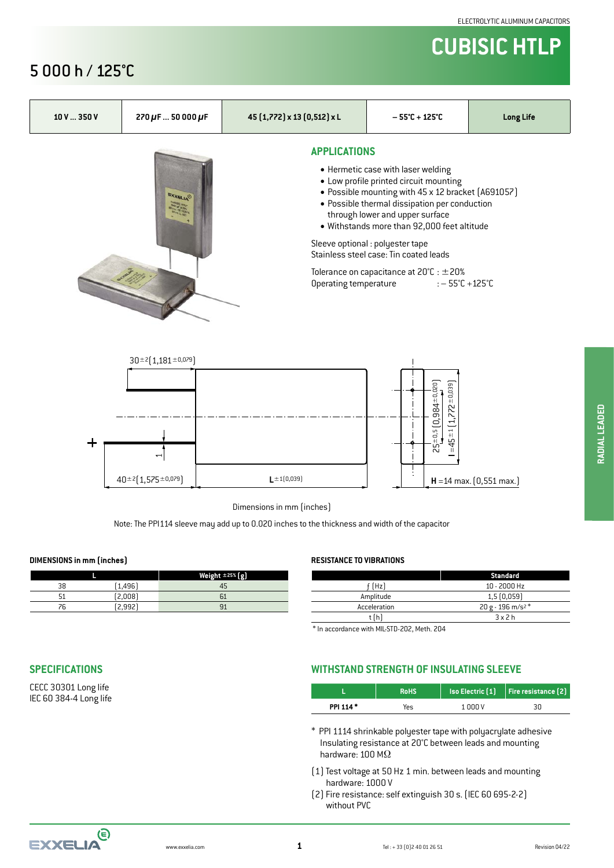## **CUBISIC HTLP**

#### 5 000 h / 125°C



#### **SPECIFICATIONS**

CECC 30301 Long life IEC 60 384-4 Long life

#### **WITHSTAND STRENGTH OF INSULATING SLEEVE**

|          | <b>RoHS</b> |         | $\mid$ Iso Electric $\mid 1 \mid \mid$ Fire resistance $\mid 2 \mid \mid$ |  |  |  |
|----------|-------------|---------|---------------------------------------------------------------------------|--|--|--|
| PPI 114* | Yes         | 1 000 V | 30                                                                        |  |  |  |

- \* PPI 1114 shrinkable polyester tape with polyacrylate adhesive Insulating resistance at 20°C between leads and mounting hardware: 100 MΩ
- (1) Test voltage at 50 Hz 1 min. between leads and mounting hardware: 1000 V
- (2) Fire resistance: self extinguish 30 s. (IEC 60 695-2-2) without PVC

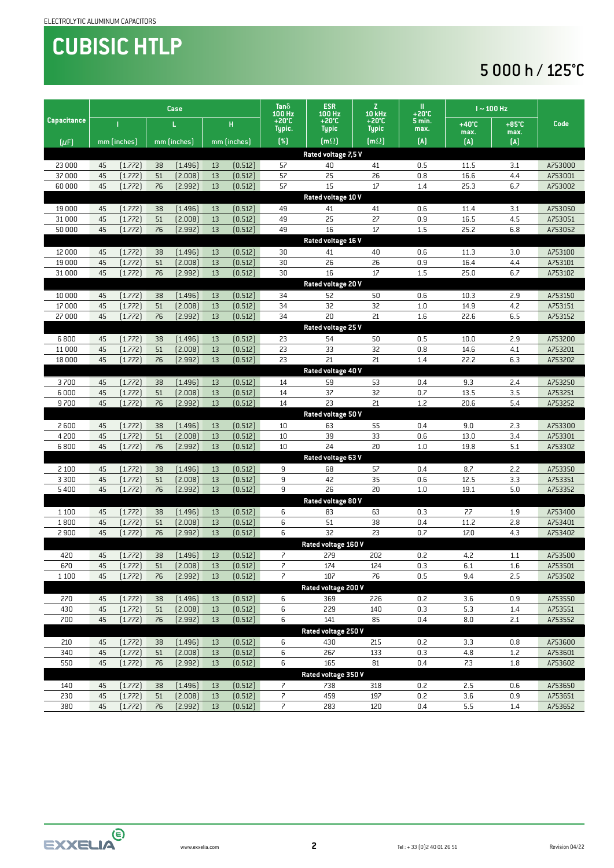# **CUBISIC HTLP**

### 5 000 h / 125°C

|                     | Case               |                    |          |                    |          |                          | Tan $\delta$                    | <b>ESR</b><br>100 Hz            | Z<br>10 kHz    | <br>+20℃                | $I \sim 100$ Hz         |            |                    |  |
|---------------------|--------------------|--------------------|----------|--------------------|----------|--------------------------|---------------------------------|---------------------------------|----------------|-------------------------|-------------------------|------------|--------------------|--|
| <b>Capacitance</b>  | L.                 |                    |          |                    | н        | 100 Hz<br>+20℃<br>Typic. | $+20^{\circ}$ C<br><b>Typic</b> | $+20^{\circ}$ C<br><b>Typic</b> | 5 min.<br>max. | $+40^{\circ}$ C<br>max. | $+85^{\circ}$ C<br>max. | Code       |                    |  |
| [ <i>µF</i> ]       |                    | mm (inches)        |          | mm [inches]        |          | mm (inches)              | $(\%)$                          | $[m\Omega]$                     | $[m\Omega]$    | (A)                     | (A)                     | (A)        |                    |  |
| Rated voltage 7,5 V |                    |                    |          |                    |          |                          |                                 |                                 |                |                         |                         |            |                    |  |
| 23 000              | 45                 | [1.772]            | 38       | (1.496)            | 13       | (0.512)                  | 57                              | 40                              | 41             | 0.5                     | 11.5                    | 3.1        | A753000            |  |
| 37000               | 45                 | (1.772)            | 51       | (2.008)            | 13       | (0.512)                  | 57                              | 25                              | 26             | 0.8                     | 16.6                    | 4.4        | A753001            |  |
| 60000               | 45                 | [1.772]            | 76       | [2.992]            | 13       | (0.512)                  | 57                              | 15                              | 17             | 1.4                     | 25.3                    | 6.7        | A753002            |  |
|                     | Rated voltage 10 V |                    |          |                    |          |                          |                                 |                                 |                |                         |                         |            |                    |  |
| 19 000              | 45                 | [1.772]            | 38       | (1.496)            | 13       | (0.512)                  | 49                              | 41                              | 41             | 0.6                     | 11.4                    | 3.1        | A753050            |  |
| 31 000              | 45                 | (1.772)            | 51       | (2.008)            | 13       | (0.512)                  | 49                              | 25                              | 27             | 0.9                     | 16.5                    | 4.5        | A753051            |  |
| 50000               | 45                 | [1.772]            | 76       | [2.992]            | 13       | (0.512)                  | 49                              | 16                              | 17             | 1.5                     | 25.2                    | 6.8        | A753052            |  |
| Rated voltage 16 V  |                    |                    |          |                    |          |                          |                                 |                                 |                |                         |                         |            |                    |  |
| 12 000<br>19 000    | 45<br>45           | [1.772]            | 38<br>51 | (1.496)            | 13<br>13 | (0.512)                  | 30<br>30                        | 41<br>26                        | 40<br>26       | 0.6                     | 11.3<br>16.4            | 3.0        | A753100<br>A753101 |  |
| 31 000              | 45                 | (1.772)<br>(1.772) | 76       | (2.008)<br>[2.992] | 13       | (0.512)<br>(0.512)       | 30                              | 16                              | 17             | 0.9<br>1.5              | 25.0                    | 4.4<br>6.7 | A753102            |  |
|                     |                    |                    |          |                    |          |                          |                                 | Rated voltage 20 V              |                |                         |                         |            |                    |  |
| 10 000              | 45                 | [1.772]            | 38       | (1.496)            | 13       | (0.512)                  | 34                              | 52                              | 50             | 0.6                     | 10.3                    | 2.9        | A753150            |  |
| 17 000              | 45                 | [1.772]            | 51       | (2.008)            | 13       | (0.512)                  | 34                              | 32                              | 32             | 1.0                     | 14.9                    | 4.2        | A753151            |  |
| 27 000              | 45                 | (1.772)            | 76       | [2.992]            | 13       | (0.512)                  | 34                              | 20                              | 21             | 1.6                     | 22.6                    | 6.5        | A753152            |  |
|                     |                    |                    |          |                    |          |                          |                                 | Rated voltage 25 V              |                |                         |                         |            |                    |  |
| 6800                | 45                 | [1.772]            | 38       | (1.496)            | 13       | (0.512)                  | 23                              | 54                              | 50             | 0.5                     | 10.0                    | 2.9        | A753200            |  |
| 11 000              | 45                 | [1.772]            | 51       | (2.008)            | 13       | (0.512)                  | 23                              | 33                              | 32             | 0.8                     | 14.6                    | 4.1        | A753201            |  |
| 18 000              | 45                 | (1.772)            | 76       | [2.992]            | 13       | (0.512)                  | 23                              | 21                              | 21             | 1.4                     | 22.2                    | 6.3        | A753202            |  |
|                     |                    |                    |          |                    |          |                          |                                 | Rated voltage 40 V              |                |                         |                         |            |                    |  |
| 3700                | 45                 | [1.772]            | 38       | (1.496)            | 13       | (0.512)                  | 14                              | 59                              | 53             | 0.4                     | 9.3                     | 2.4        | A753250            |  |
| 6000                | 45                 | [1.772]            | 51       | (2.008)            | 13       | (0.512)                  | 14                              | 37                              | 32             | 0.7                     | 13.5                    | 3.5        | A753251            |  |
| 9700                | 45                 | (1.772)            | 76       | [2.992]            | 13       | (0.512)                  | 14                              | 23                              | 21             | 1.2                     | 20.6                    | 5.4        | A753252            |  |
|                     |                    |                    |          |                    |          |                          |                                 | Rated voltage 50 V              |                |                         |                         |            |                    |  |
| 2600                | 45                 | [1.772]            | 38       | (1.496)            | 13       | (0.512)                  | 10                              | 63                              | 55             | 0.4                     | 9.0                     | 2.3        | A753300            |  |
| 4 200               | 45                 | [1.772]            | 51       | (2.008)            | 13       | (0.512)                  | 10                              | 39                              | 33             | 0.6                     | 13.0                    | 3.4        | A753301            |  |
| 6800                | 45                 | [1.772]            | 76       | [2.992]            | 13       | (0.512)                  | $10\,$                          | 24                              | 20             | 1.0                     | 19.8                    | 5.1        | A753302            |  |
|                     |                    |                    |          |                    |          |                          |                                 | Rated voltage 63 V              | 57             |                         |                         |            |                    |  |
| 2 100<br>3 3 0 0    | 45<br>45           | [1.772]<br>[1.772] | 38<br>51 | (1.496)<br>(2.008) | 13<br>13 | (0.512)<br>(0.512)       | 9<br>9                          | 68<br>42                        | 35             | 0.4<br>0.6              | 8.7<br>12.5             | 2.2<br>3.3 | A753350<br>A753351 |  |
| 5400                | 45                 | (1.772)            | 76       | [2.992]            | 13       | (0.512)                  | 9                               | 26                              | 20             | 1.0                     | 19.1                    | 5.0        | A753352            |  |
|                     |                    |                    |          |                    |          |                          |                                 | Rated voltage 80 V              |                |                         |                         |            |                    |  |
| 1 1 0 0             | 45                 | [1.772]            | 38       | (1.496)            | 13       | (0.512)                  | 6                               | 83                              | 63             | 0.3                     | 7.7                     | 1.9        | A753400            |  |
| 1800                | 45                 | (1.772)            | 51       | (2.008)            | 13       | (0.512)                  | 6                               | 51                              | 38             | 0.4                     | 11.2                    | 2.8        | A753401            |  |
| 2 9 0 0             | 45                 | [1.772]            | 76       | [2.992]            | 13       | (0.512)                  | 6                               | 32                              | 23             | 0.7                     | 17.0                    | 4.3        | A753402            |  |
|                     |                    |                    |          |                    |          |                          |                                 | Rated voltage 160 V             |                |                         |                         |            |                    |  |
| 420                 | 45                 | [1.772]            | 38       | [1.496]            | 13       | (0.512)                  | $\overline{\phantom{a}}$        | 279                             | 202            | 0.2                     | 4.2                     | 1.1        | A753500            |  |
| 670                 | 45                 | (1.772)            | 51       | [2.008]            | 13       | (0.512)                  | 7                               | 174                             | 124            | 0.3                     | 6.1                     | 1.6        | A753501            |  |
| 1 1 0 0             | 45                 | (1.772)            | 76       | (2.992)            | 13       | (0.512)                  | 7                               | 107                             | 76             | 0.5                     | 9.4                     | 2.5        | A753502            |  |
|                     |                    |                    |          |                    |          |                          |                                 | Rated voltage 200 V             |                |                         |                         |            |                    |  |
| 270                 | 45                 | [1.772]            | 38       | (1.496)            | 13       | (0.512)                  | 6                               | 369                             | 226            | 0.2                     | 3.6                     | 0.9        | A753550            |  |
| 430                 | 45                 | [1.772]            | 51       | (2.008)            | 13       | (0.512)                  | 6                               | 229                             | 140            | 0.3                     | 5.3                     | 1.4        | A753551            |  |
| 700                 | 45                 | (1.772)            | 76       | [2.992]            | 13       | (0.512)                  | 6                               | 141                             | 85             | 0.4                     | 8.0                     | 2.1        | A753552            |  |
|                     |                    |                    |          |                    |          |                          |                                 | Rated voltage 250 V             |                |                         |                         |            |                    |  |
| 210                 | 45                 | [1.772]            | 38       | (1.496)            | 13       | (0.512)                  | 6                               | 430                             | 215            | 0.2                     | 3.3                     | 0.8        | A753600            |  |
| 340                 | 45                 | (1.772)            | 51       | (2.008)            | 13       | (0.512)                  | 6                               | 267                             | 133            | 0.3                     | 4.8                     | 1.2        | A753601            |  |
| 550                 | 45                 | (1.772)            | 76       | (2.992)            | 13       | (0.512)                  | 6                               | 165<br>Rated voltage 350 V      | 81             | 0.4                     | 7.3                     | 1.8        | A753602            |  |
| 140                 | 45                 | [1.772]            | 38       | (1.496)            | 13       | [0.512]                  | $\overline{\phantom{a}}$        | 738                             | 318            | 0.2                     | 2.5                     | 0.6        | A753650            |  |
| 230                 | 45                 | [1.772]            | 51       | (2.008)            | 13       | (0.512)                  | 7                               | 459                             | 197            | 0.2                     | 3.6                     | 0.9        | A753651            |  |
| 380                 | 45                 | (1.772)            | 76       | (2.992)            | 13       | [0.512]                  | 7                               | 283                             | 120            | 0.4                     | 5.5                     | 1.4        | A753652            |  |
|                     |                    |                    |          |                    |          |                          |                                 |                                 |                |                         |                         |            |                    |  |